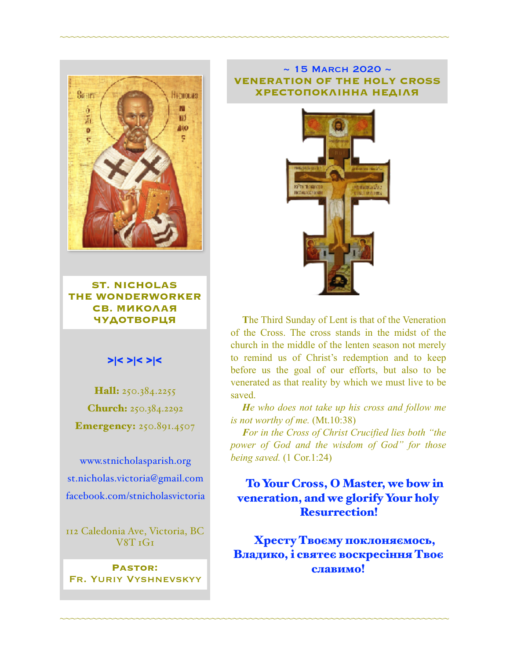

**ST. NICHOLAS THE WONDERWORKER СВ. МИКОЛАЯ ЧУДОТВОРЦЯ**

### >|< >|< >|<

Hall: 250.384.2255 Church: 250.384.2292 **Emergency: 250.891.4507** 

[www.stnicholasparish.org](http://www.stnicholasparish.org) [st.nicholas.victoria@gmail.com](mailto:st.nicholas.victoria@gmail.com) [facebook.com/stnicholasvictoria](http://facebook.com/stnicholasvictoria)

112 Caledonia Ave, Victoria, BC V8T 1G1

**Pastor:**  Fr. Yuriy Vyshnevskyy

#### $\sim$  15 MARCH 2020  $\sim$ **VENERATION OF THE HOLY CROSS ХРЕСТОПОКЛІННА НЕДІЛЯ**

~~~~~~~~~~~~~~~~~~~~~~~~~~~~~~~~~~~~~~~~~~~~~~~~~~~~~~~~~~~~~~~~~~~~~~~~



**T**he Third Sunday of Lent is that of the Veneration of the Cross. The cross stands in the midst of the church in the middle of the lenten season not merely to remind us of Christ's redemption and to keep before us the goal of our efforts, but also to be venerated as that reality by which we must live to be saved.

*He who does not take up his cross and follow me is not worthy of me.* (Mt.10:38)

*For in the Cross of Christ Crucified lies both "the power of God and the wisdom of God" for those being saved.* (1 Cor.1:24)

To Your Cross, O Master, we bow in veneration, and we glorify Your holy Resurrection!

ХрестуТвоєму поклоняємось, Владико, і святеє воскресінняТвоє славимо!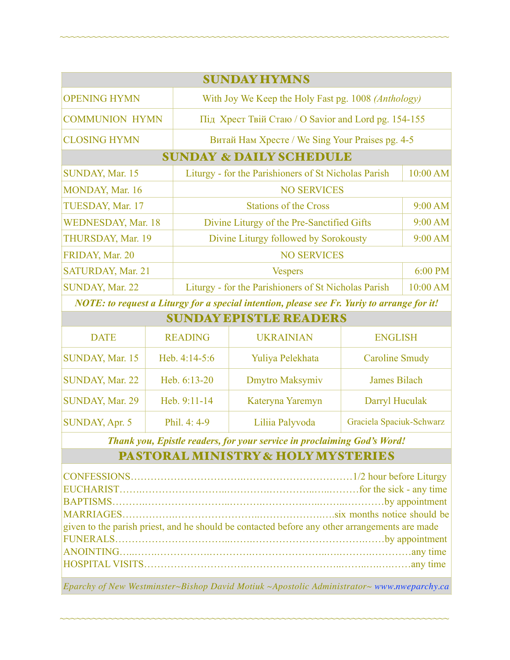| <b>SUNDAY HYMNS</b>                |                                                      |          |  |  |  |
|------------------------------------|------------------------------------------------------|----------|--|--|--|
| <b>OPENING HYMN</b>                | With Joy We Keep the Holy Fast pg. 1008 (Anthology)  |          |  |  |  |
| <b>COMMUNION HYMN</b>              | Під Хрест Твій Стаю / О Savior and Lord pg. 154-155  |          |  |  |  |
| <b>CLOSING HYMN</b>                | Витай Нам Хресте / We Sing Your Praises pg. 4-5      |          |  |  |  |
| <b>SUNDAY &amp; DAILY SCHEDULE</b> |                                                      |          |  |  |  |
| SUNDAY, Mar. 15                    | Liturgy - for the Parishioners of St Nicholas Parish | 10:00 AM |  |  |  |
| MONDAY, Mar. 16                    | <b>NO SERVICES</b>                                   |          |  |  |  |
| TUESDAY, Mar. 17                   | <b>Stations of the Cross</b>                         | 9:00 AM  |  |  |  |
| WEDNESDAY, Mar. 18                 | Divine Liturgy of the Pre-Sanctified Gifts           | 9:00 AM  |  |  |  |
| THURSDAY, Mar. 19                  | Divine Liturgy followed by Sorokousty                | 9:00 AM  |  |  |  |
| FRIDAY, Mar. 20                    | <b>NO SERVICES</b>                                   |          |  |  |  |
| SATURDAY, Mar. 21                  | $6:00$ PM<br><b>Vespers</b>                          |          |  |  |  |
| SUNDAY, Mar. 22                    | Liturgy - for the Parishioners of St Nicholas Parish | 10:00 AM |  |  |  |
|                                    |                                                      |          |  |  |  |

~~~~~~~~~~~~~~~~~~~~~~~~~~~~~~~~~~~~~~~~~~~~~~~~~~~~~~~~~~~~~~~~~~~~~~~~

*NOTE: to request a Liturgy for a special intention, please see Fr. Yuriy to arrange for it!* SUNDAY EPISTLE READERS

| SUNDAY EPISTLE KEADERS |                 |                        |                          |  |  |
|------------------------|-----------------|------------------------|--------------------------|--|--|
| <b>DATE</b>            | <b>READING</b>  | <b>UKRAINIAN</b>       | <b>ENGLISH</b>           |  |  |
| SUNDAY, Mar. 15        | Heb. $4:14-5:6$ | Yuliya Pelekhata       | <b>Caroline Smudy</b>    |  |  |
| SUNDAY, Mar. 22        | Heb. 6:13-20    | <b>Dmytro Maksymiv</b> | James Bilach             |  |  |
| SUNDAY, Mar. 29        | Heb. 9:11-14    | Kateryna Yaremyn       | Darryl Huculak           |  |  |
| SUNDAY, Apr. 5         | Phil. 4: 4-9    | Liliia Palyvoda        | Graciela Spaciuk-Schwarz |  |  |

*Thank you, Epistle readers, for your service in proclaiming God's Word!*

# PASTORAL MINISTRY & HOLY MYSTERIES

| given to the parish priest, and he should be contacted before any other arrangements are made |  |
|-----------------------------------------------------------------------------------------------|--|
|                                                                                               |  |
|                                                                                               |  |
|                                                                                               |  |
|                                                                                               |  |

*Eparchy of New Westminster~Bishop David Motiuk ~Apostolic Administrator~ [www.nweparchy.ca](http://www.nweparchy.ca)*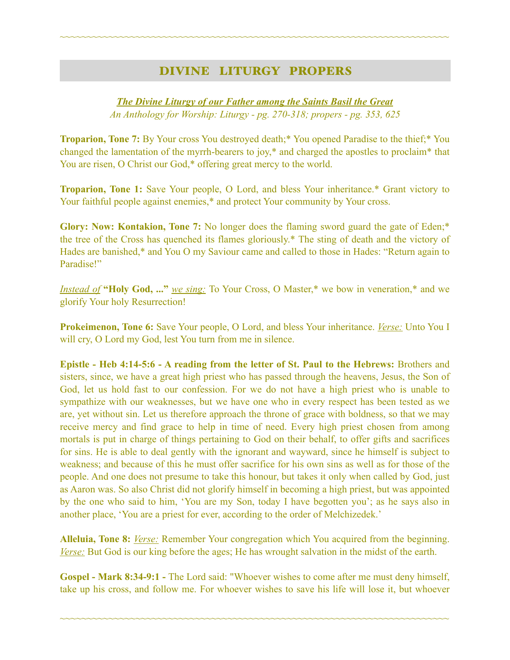# DIVINE LITURGY PROPERS

~~~~~~~~~~~~~~~~~~~~~~~~~~~~~~~~~~~~~~~~~~~~~~~~~~~~~~~~~~~~~~~~~~~~~~~~

### *The Divine Liturgy of our Father among the Saints Basil the Great An Anthology for Worship: Liturgy - pg. 270-318; propers - pg. 353, 625*

**Troparion, Tone 7:** By Your cross You destroyed death;\* You opened Paradise to the thief;\* You changed the lamentation of the myrrh-bearers to joy,\* and charged the apostles to proclaim\* that You are risen, O Christ our God,\* offering great mercy to the world.

**Troparion, Tone 1:** Save Your people, O Lord, and bless Your inheritance.\* Grant victory to Your faithful people against enemies,<sup>\*</sup> and protect Your community by Your cross.

**Glory: Now: Kontakion, Tone 7:** No longer does the flaming sword guard the gate of Eden;\* the tree of the Cross has quenched its flames gloriously.\* The sting of death and the victory of Hades are banished,\* and You O my Saviour came and called to those in Hades: "Return again to Paradise!"

*Instead of* **"Holy God, ..."** *we sing:* To Your Cross, O Master,\* we bow in veneration,\* and we glorify Your holy Resurrection!

**Prokeimenon, Tone 6:** Save Your people, O Lord, and bless Your inheritance. *Verse:* Unto You I will cry, O Lord my God, lest You turn from me in silence.

**Epistle - Heb 4:14-5:6 - A reading from the letter of St. Paul to the Hebrews:** Brothers and sisters, since, we have a great high priest who has passed through the heavens, Jesus, the Son of God, let us hold fast to our confession. For we do not have a high priest who is unable to sympathize with our weaknesses, but we have one who in every respect has been tested as we are, yet without sin. Let us therefore approach the throne of grace with boldness, so that we may receive mercy and find grace to help in time of need. Every high priest chosen from among mortals is put in charge of things pertaining to God on their behalf, to offer gifts and sacrifices for sins. He is able to deal gently with the ignorant and wayward, since he himself is subject to weakness; and because of this he must offer sacrifice for his own sins as well as for those of the people. And one does not presume to take this honour, but takes it only when called by God, just as Aaron was. So also Christ did not glorify himself in becoming a high priest, but was appointed by the one who said to him, 'You are my Son, today I have begotten you'; as he says also in another place, 'You are a priest for ever, according to the order of Melchizedek.'

**Alleluia, Tone 8:** *Verse:* Remember Your congregation which You acquired from the beginning. *Verse:* But God is our king before the ages; He has wrought salvation in the midst of the earth.

Gospel - Mark 8:34-9:1 - The Lord said: "Whoever wishes to come after me must deny himself, take up his cross, and follow me. For whoever wishes to save his life will lose it, but whoever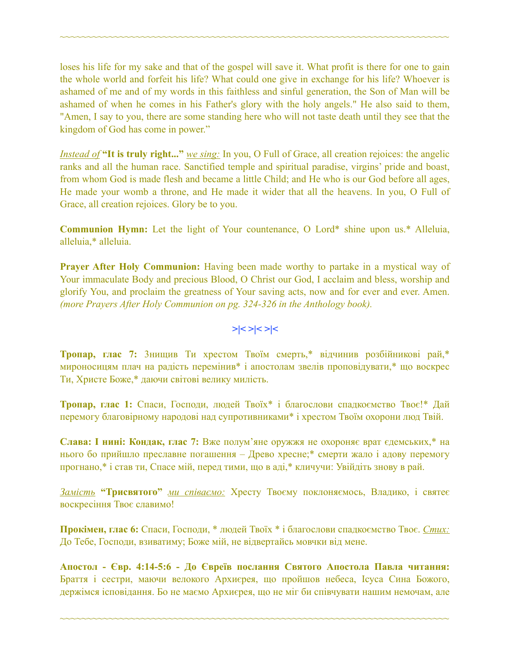loses his life for my sake and that of the gospel will save it. What profit is there for one to gain the whole world and forfeit his life? What could one give in exchange for his life? Whoever is ashamed of me and of my words in this faithless and sinful generation, the Son of Man will be ashamed of when he comes in his Father's glory with the holy angels." He also said to them, "Amen, I say to you, there are some standing here who will not taste death until they see that the kingdom of God has come in power."

~~~~~~~~~~~~~~~~~~~~~~~~~~~~~~~~~~~~~~~~~~~~~~~~~~~~~~~~~~~~~~~~~~~~~~~~

*Instead of* **"It is truly right..."** *we sing:* In you, O Full of Grace, all creation rejoices: the angelic ranks and all the human race. Sanctified temple and spiritual paradise, virgins' pride and boast, from whom God is made flesh and became a little Child; and He who is our God before all ages, He made your womb a throne, and He made it wider that all the heavens. In you, O Full of Grace, all creation rejoices. Glory be to you.

**Communion Hymn:** Let the light of Your countenance, O Lord\* shine upon us.\* Alleluia, alleluia,\* alleluia.

**Prayer After Holy Communion:** Having been made worthy to partake in a mystical way of Your immaculate Body and precious Blood, O Christ our God, I acclaim and bless, worship and glorify You, and proclaim the greatness of Your saving acts, now and for ever and ever. Amen. *(more Prayers After Holy Communion on pg. 324-326 in the Anthology book).* 

#### **>|< >|< >|<**

**Тропар, глас 7:** 3нищив Ти хрестом Твоїм смерть,\* відчинив розбійникові рай,\* мироносицям плач на радість перемінив\* і апостолам звелів проповідувати,\* що воскрес Ти, Христе Боже,\* даючи світові велику милість.

**Тропар, глас 1:** Спаси, Господи, людей Твоїх\* і благослови спадкоємство Твоє!\* Дай перемогу благовірному народові над супротивниками\* і хрестом Твоїм охорони люд Твій.

**Слава: І нині: Кондак, глас 7:** Вже полум'яне оружжя не охороняє врат єдемських,\* на нього бо прийшло преславне погашення – Древо хресне;\* смерти жало і адову перемогу прогнано,\* і став ти, Спасе мій, перед тими, що в аді,\* кличучи: Увійдіть знову в рай.

*Замість* **"Трисвятого"** *ми співаємо:* Хресту Твоєму поклоняємось, Владико, і святеє воскресіння Твоє славимо!

**Прокімен, глас 6:** Спаси, Господи, \* людей Твоїх \* і благослови спадкоємство Твоє. *Стих:* До Тебе, Господи, взиватиму; Боже мій, не відвертайсь мовчки від мене.

**Апостол - Євр. 4:14-5:6 - До Євреїв послання Святого Апостола Павла читання:** Браття і сестри, маючи велокого Архиєрея, що пройшов небеса, Ісуса Сина Божого, держімся ісповідання. Бо не маємо Архиєрея, що не міг би співчувати нашим немочам, але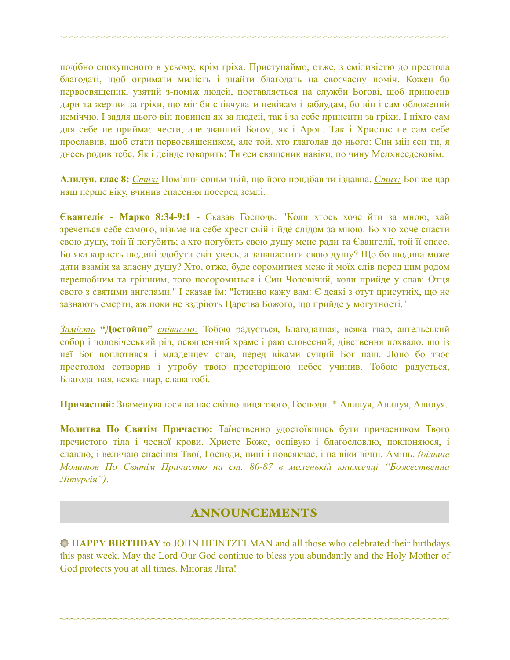подібно спокушеного в усьому, крім гріха. Приступаймо, отже, з сміливістю до престола благодаті, щоб отримати милість і знайти благодать на своєчасну поміч. Кожен бо первосвященик, узятий з-поміж людей, поставляється на служби Богові, щоб приносив дари та жертви за гріхи, що міг би співчувати невіжам і заблудам, бо він і сам обложений неміччю. І задля цього він повинен як за людей, так і за себе принсити за гріхи. І ніхто сам для себе не приймає чести, але званний Богом, як і Арон. Так і Христос не сам себе прославив, щоб стати первосвящеником, але той, хто глаголав до нього: Син мій єси ти, я днесь родив тебе. Як і деінде говорить: Ти єси священик навіки, по чину Мелхиседековім.

~~~~~~~~~~~~~~~~~~~~~~~~~~~~~~~~~~~~~~~~~~~~~~~~~~~~~~~~~~~~~~~~~~~~~~~~

**Алилуя, глас 8:** *Cтих:* Пом'яни соньм твій, що його придбав ти іздавна. *Cтих:* Бог же цар наш перше віку, вчинив спасення посеред землі.

**Євангеліє - Марко 8:34-9:1 -** Сказав Господь: "Коли хтось хоче йти за мною, хай зречеться себе самого, візьме на себе хрест свій і йде слідом за мною. Бо хто хоче спасти свою душу, той її погубить; а хто погубить свою душу мене ради та Євангелії, той її спасе. Бо яка користь людині здобути світ увесь, а занапастити свою душу? Що бо людина може дати взамін за власну душу? Хто, отже, буде соромитися мене й моїх слів перед цим родом перелюбним та грішним, того посоромиться і Син Чоловічий, коли прийде у славі Отця свого з святими ангелами." І сказав їм: "Істинно кажу вам: Є деякі з отут присутніх, що не зазнають смерти, аж поки не вздріють Царства Божого, що прийде у могутності."

*Замість* **"Достойно"** *співаємо:* Тобою радується, Благодатная, всяка твар, ангельський собор і чоловічеський рід, освященний храме і раю словесний, дівствення похвало, що із неї Бог воплотився і младенцем став, перед віками сущий Бог наш. Лоно бо твоє престолом сотворив і утробу твою просторішою небес учинив. Тобою радується, Благодатная, всяка твар, слава тобі.

**Причасний:** Знаменувалося на нас світло лиця твого, Господи. \* Алилуя, Алилуя, Алилуя.

**Молитва По Святім Причастю:** Таїнственно удостоївшись бути причасником Твого пречистого тіла і чесної крови, Христе Боже, оспівую і благословлю, поклоняюся, і славлю, і величаю спасіння Твої, Господи, нині і повсякчас, і на віки вічні. Амінь. *(більше Молитов По Святім Причастю на ст. 80-87 в маленькій книжечці "Божественна Літургія")*.

# ANNOUNCEMENTS

**HAPPY BIRTHDAY** to JOHN HEINTZELMAN and all those who celebrated their birthdays this past week. May the Lord Our God continue to bless you abundantly and the Holy Mother of God protects you at all times. Многая Літа!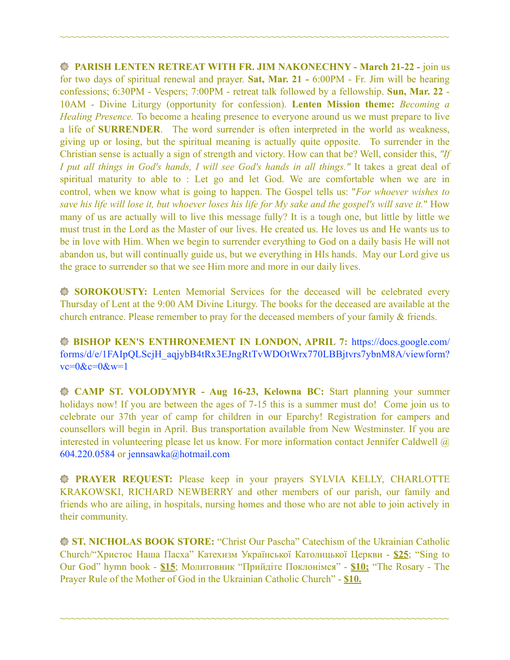**PARISH LENTEN RETREAT WITH FR. JIM NAKONECHNY - March 21-22 -** join us for two days of spiritual renewal and prayer. **Sat, Mar. 21 -** 6:00PM - Fr. Jim will be hearing confessions; 6:30PM - Vespers; 7:00PM - retreat talk followed by a fellowship. **Sun, Mar. 22** - 10AM - Divine Liturgy (opportunity for confession). **Lenten Mission theme:** *Becoming a Healing Presence.* To become a healing presence to everyone around us we must prepare to live a life of **SURRENDER**. The word surrender is often interpreted in the world as weakness, giving up or losing, but the spiritual meaning is actually quite opposite. To surrender in the Christian sense is actually a sign of strength and victory. How can that be? Well, consider this, *"If I put all things in God's hands, I will see God's hands in all things."* It takes a great deal of spiritual maturity to able to : Let go and let God. We are comfortable when we are in control, when we know what is going to happen. The Gospel tells us: "*For whoever wishes to save his life will lose it, but whoever loses his life for My sake and the gospel's will save it.*" How many of us are actually will to live this message fully? It is a tough one, but little by little we must trust in the Lord as the Master of our lives. He created us. He loves us and He wants us to be in love with Him. When we begin to surrender everything to God on a daily basis He will not abandon us, but will continually guide us, but we everything in HIs hands. May our Lord give us the grace to surrender so that we see Him more and more in our daily lives.

~~~~~~~~~~~~~~~~~~~~~~~~~~~~~~~~~~~~~~~~~~~~~~~~~~~~~~~~~~~~~~~~~~~~~~~~

**SOROKOUSTY:** Lenten Memorial Services for the deceased will be celebrated every Thursday of Lent at the 9:00 AM Divine Liturgy. The books for the deceased are available at the church entrance. Please remember to pray for the deceased members of your family & friends.

**BISHOP KEN'S ENTHRONEMENT IN LONDON, APRIL 7:** [https://docs.google.com/](https://docs.google.com/forms/d/e/1FAIpQLScjH_aqjybB4tRx3EJngRtTvWDOtWrx770LBBjtvrs7ybnM8A/viewform?vc=0&c=0&w=1) [forms/d/e/1FAIpQLScjH\\_aqjybB4tRx3EJngRtTvWDOtWrx770LBBjtvrs7ybnM8A/viewform?](https://docs.google.com/forms/d/e/1FAIpQLScjH_aqjybB4tRx3EJngRtTvWDOtWrx770LBBjtvrs7ybnM8A/viewform?vc=0&c=0&w=1)  $vc=0$ & $c=0$ & $w=1$ 

 **CAMP ST. VOLODYMYR - Aug 16-23, Kelowna BC:** Start planning your summer holidays now! If you are between the ages of 7-15 this is a summer must do! Come join us to celebrate our 37th year of camp for children in our Eparchy! Registration for campers and counsellors will begin in April. Bus transportation available from New Westminster. If you are interested in volunteering please let us know. For more information contact Jennifer Caldwell @ 604.220.0584 or [jennsawka@hotmail.com](mailto:jennsawka@hotmail.com)

**PRAYER REQUEST:** Please keep in your prayers SYLVIA KELLY, CHARLOTTE KRAKOWSKI, RICHARD NEWBERRY and other members of our parish, our family and friends who are ailing, in hospitals, nursing homes and those who are not able to join actively in their community.

**ST. NICHOLAS BOOK STORE:** "Christ Our Pascha" Catechism of the Ukrainian Catholic Church/"Христос Наша Пасха" Катехизм Української Католицької Церкви - **\$25**; "Sing to Our God" hymn book - **\$15**; Молитовник "Прийдіте Поклонімся" - **\$10;** "The Rosary - The Prayer Rule of the Mother of God in the Ukrainian Catholic Church" - **\$10.**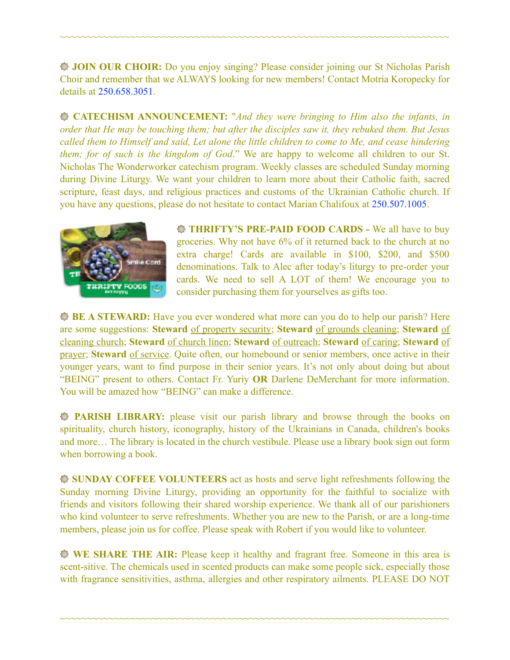**JOIN OUR CHOIR:** Do you enjoy singing? Please consider joining our St Nicholas Parish Choir and remember that we ALWAYS looking for new members! Contact Motria Koropecky for details at 250.658.3051.

~~~~~~~~~~~~~~~~~~~~~~~~~~~~~~~~~~~~~~~~~~~~~~~~~~~~~~~~~~~~~~~~~~~~~~~~

**CATECHISM ANNOUNCEMENT:** "*And they were bringing to Him also the infants, in order that He may be touching them; but after the disciples saw it, they rebuked them. But Jesus called them to Himself and said, Let alone the little children to come to Me, and cease hindering them; for of such is the kingdom of God*." We are happy to welcome all children to our St. Nicholas The Wonderworker catechism program. Weekly classes are scheduled Sunday morning during Divine Liturgy. We want your children to learn more about their Catholic faith, sacred scripture, feast days, and religious practices and customs of the Ukrainian Catholic church. If you have any questions, please do not hesitate to contact Marian Chalifoux at 250.507.1005.



**THRIFTY'S PRE-PAID FOOD CARDS -** We all have to buy groceries. Why not have 6% of it returned back to the church at no extra charge! Cards are available in \$100, \$200, and \$500 denominations. Talk to Alec after today's liturgy to pre-order your cards. We need to sell A LOT of them! We encourage you to consider purchasing them for yourselves as gifts too.

**BE A STEWARD:** Have you ever wondered what more can you do to help our parish? Here are some suggestions: **Steward** of property security; **Steward** of grounds cleaning; **Steward** of cleaning church; **Steward** of church linen; **Steward** of outreach; **Steward** of caring; **Steward** of prayer; **Steward** of service. Quite often, our homebound or senior members, once active in their younger years, want to find purpose in their senior years. It's not only about doing but about "BEING" present to others. Contact Fr. Yuriy **OR** Darlene DeMerchant for more information. You will be amazed how "BEING" can make a difference.

**PARISH LIBRARY:** please visit our parish library and browse through the books on spirituality, church history, iconography, history of the Ukrainians in Canada, children's books and more… The library is located in the church vestibule. Please use a library book sign out form when borrowing a book.

**SUNDAY COFFEE VOLUNTEERS** act as hosts and serve light refreshments following the Sunday morning Divine Liturgy, providing an opportunity for the faithful to socialize with friends and visitors following their shared worship experience. We thank all of our parishioners who kind volunteer to serve refreshments. Whether you are new to the Parish, or are a long-time members, please join us for coffee. Please speak with Robert if you would like to volunteer.

**WE SHARE THE AIR:** Please keep it healthy and fragrant free. Someone in this area is scent-sitive. The chemicals used in scented products can make some people sick, especially those with fragrance sensitivities, asthma, allergies and other respiratory ailments. PLEASE DO NOT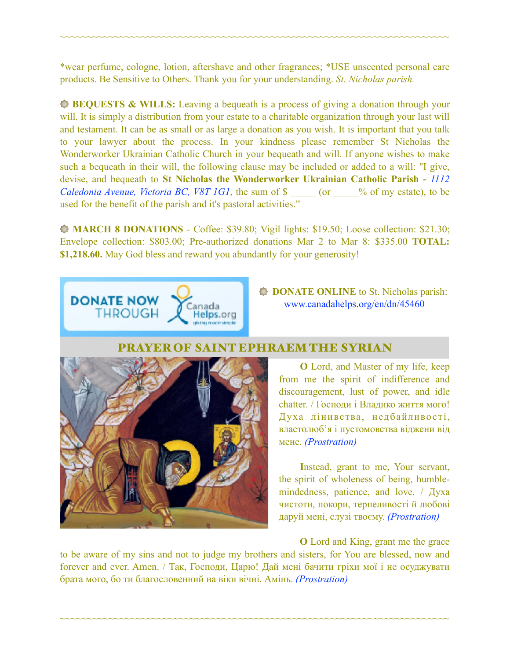\*wear perfume, cologne, lotion, aftershave and other fragrances; \*USE unscented personal care products. Be Sensitive to Others. Thank you for your understanding. *St. Nicholas parish.* 

~~~~~~~~~~~~~~~~~~~~~~~~~~~~~~~~~~~~~~~~~~~~~~~~~~~~~~~~~~~~~~~~~~~~~~~~

**BEQUESTS & WILLS:** Leaving a bequeath is a process of giving a donation through your will. It is simply a distribution from your estate to a charitable organization through your last will and testament. It can be as small or as large a donation as you wish. It is important that you talk to your lawyer about the process. In your kindness please remember St Nicholas the Wonderworker Ukrainian Catholic Church in your bequeath and will. If anyone wishes to make such a bequeath in their will, the following clause may be included or added to a will: "I give, devise, and bequeath to **St Nicholas the Wonderworker Ukrainian Catholic Parish -** *1112 Caledonia Avenue, Victoria BC, V8T 1G1*, the sum of \$ \_\_\_\_\_ (or \_\_\_\_% of my estate), to be used for the benefit of the parish and it's pastoral activities."

**MARCH 8 DONATIONS** - Coffee: \$39.80; Vigil lights: \$19.50; Loose collection: \$21.30; Envelope collection: \$803.00; Pre-authorized donations Mar 2 to Mar 8: \$335.00 **TOTAL: \$1,218.60.** May God bless and reward you abundantly for your generosity!



**DONATE ONLINE** to St. Nicholas parish: [www.canadahelps.org/en/dn/45460](http://www.canadahelps.org/en/dn/45460) 



**O** Lord, and Master of my life, keep from me the spirit of indifference and discouragement, lust of power, and idle chatter. / Господи і Владико життя мого! Духа лінивства, недбайливості, властолюб'я і пустомовства віджени від мене. *(Prostration)* 

**I**nstead, grant to me, Your servant, the spirit of wholeness of being, humblemindedness, patience, and love. / Духа чистоти, покори, терпеливості й любові даруй мені, слузі твоєму. *(Prostration)* 

**O** Lord and King, grant me the grace to be aware of my sins and not to judge my brothers and sisters, for You are blessed, now and forever and ever. Amen. / Так, Господи, Царю! Дай мені бачити гріхи мої і не осуджувати брата мого, бо ти благословенний на віки вічні. Амінь. *(Prostration)*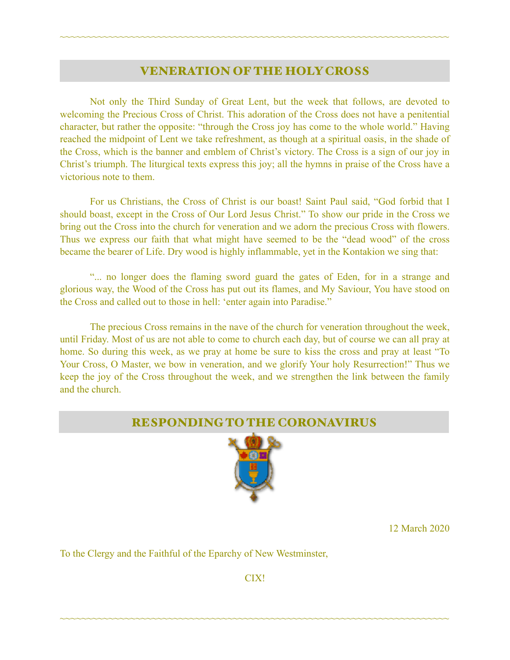### VENERATION OF THE HOLY CROSS

~~~~~~~~~~~~~~~~~~~~~~~~~~~~~~~~~~~~~~~~~~~~~~~~~~~~~~~~~~~~~~~~~~~~~~~~

 Not only the Third Sunday of Great Lent, but the week that follows, are devoted to welcoming the Precious Cross of Christ. This adoration of the Cross does not have a penitential character, but rather the opposite: "through the Cross joy has come to the whole world." Having reached the midpoint of Lent we take refreshment, as though at a spiritual oasis, in the shade of the Cross, which is the banner and emblem of Christ's victory. The Cross is a sign of our joy in Christ's triumph. The liturgical texts express this joy; all the hymns in praise of the Cross have a victorious note to them.

 For us Christians, the Cross of Christ is our boast! Saint Paul said, "God forbid that I should boast, except in the Cross of Our Lord Jesus Christ." To show our pride in the Cross we bring out the Cross into the church for veneration and we adorn the precious Cross with flowers. Thus we express our faith that what might have seemed to be the "dead wood" of the cross became the bearer of Life. Dry wood is highly inflammable, yet in the Kontakion we sing that:

 "... no longer does the flaming sword guard the gates of Eden, for in a strange and glorious way, the Wood of the Cross has put out its flames, and My Saviour, You have stood on the Cross and called out to those in hell: 'enter again into Paradise."

 The precious Cross remains in the nave of the church for veneration throughout the week, until Friday. Most of us are not able to come to church each day, but of course we can all pray at home. So during this week, as we pray at home be sure to kiss the cross and pray at least "To Your Cross, O Master, we bow in veneration, and we glorify Your holy Resurrection!" Thus we keep the joy of the Cross throughout the week, and we strengthen the link between the family and the church.

# RESPONDING TO THE CORONAVIRUS



12 March 2020

To the Clergy and the Faithful of the Eparchy of New Westminster,

CIX!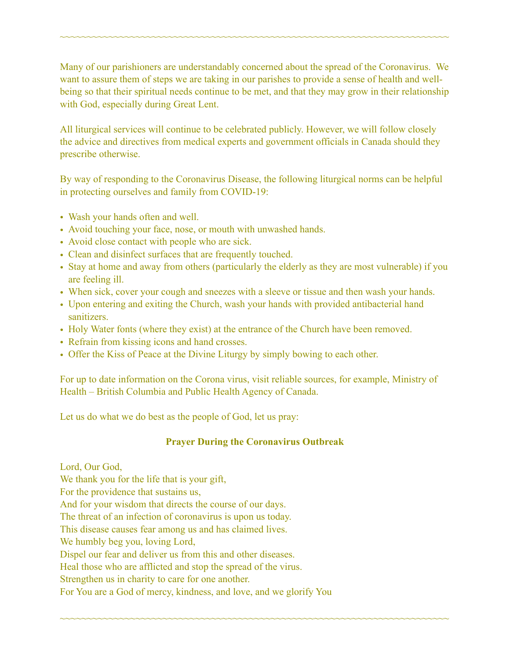Many of our parishioners are understandably concerned about the spread of the Coronavirus. We want to assure them of steps we are taking in our parishes to provide a sense of health and wellbeing so that their spiritual needs continue to be met, and that they may grow in their relationship with God, especially during Great Lent.

~~~~~~~~~~~~~~~~~~~~~~~~~~~~~~~~~~~~~~~~~~~~~~~~~~~~~~~~~~~~~~~~~~~~~~~~

All liturgical services will continue to be celebrated publicly. However, we will follow closely the advice and directives from medical experts and government officials in Canada should they prescribe otherwise.

By way of responding to the Coronavirus Disease, the following liturgical norms can be helpful in protecting ourselves and family from COVID-19:

- Wash your hands often and well.
- Avoid touching your face, nose, or mouth with unwashed hands.
- Avoid close contact with people who are sick.
- Clean and disinfect surfaces that are frequently touched.
- Stay at home and away from others (particularly the elderly as they are most vulnerable) if you are feeling ill.
- When sick, cover your cough and sneezes with a sleeve or tissue and then wash your hands.
- Upon entering and exiting the Church, wash your hands with provided antibacterial hand sanitizers.
- Holy Water fonts (where they exist) at the entrance of the Church have been removed.
- Refrain from kissing icons and hand crosses.
- Offer the Kiss of Peace at the Divine Liturgy by simply bowing to each other.

For up to date information on the Corona virus, visit reliable sources, for example, Ministry of Health – British Columbia and Public Health Agency of Canada.

Let us do what we do best as the people of God, let us pray:

### **Prayer During the Coronavirus Outbreak**

~~~~~~~~~~~~~~~~~~~~~~~~~~~~~~~~~~~~~~~~~~~~~~~~~~~~~~~~~~~~~~~~~~~~~~~~

Lord, Our God, We thank you for the life that is your gift, For the providence that sustains us, And for your wisdom that directs the course of our days. The threat of an infection of coronavirus is upon us today. This disease causes fear among us and has claimed lives. We humbly beg you, loving Lord, Dispel our fear and deliver us from this and other diseases. Heal those who are afflicted and stop the spread of the virus. Strengthen us in charity to care for one another. For You are a God of mercy, kindness, and love, and we glorify You